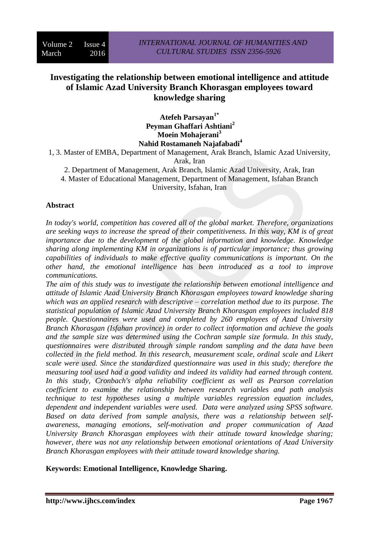# **Investigating the relationship between emotional intelligence and attitude of Islamic Azad University Branch Khorasgan employees toward knowledge sharing**

**Atefeh Parsayan1\* Peyman Ghaffari Ashtiani<sup>2</sup> Moein Mohajerani<sup>3</sup> Nahid Rostamaneh Najafabadi<sup>4</sup>**

1, 3. Master of EMBA, Department of Management, Arak Branch, Islamic Azad University,

Arak, Iran

2. Department of Management, Arak Branch, Islamic Azad University, Arak, Iran

4. Master of Educational Management, Department of Management, Isfahan Branch University, Isfahan, Iran

# **Abstract**

*In today's world, competition has covered all of the global market. Therefore, organizations are seeking ways to increase the spread of their competitiveness. In this way, KM is of great importance due to the development of the global information and knowledge. Knowledge sharing along implementing KM in organizations is of particular importance; thus growing capabilities of individuals to make effective quality communications is important. On the other hand, the emotional intelligence has been introduced as a tool to improve communications.* 

*The aim of this study was to investigate the relationship between emotional intelligence and attitude of Islamic Azad University Branch Khorasgan employees toward knowledge sharing which was an applied research with descriptive – correlation method due to its purpose. The statistical population of Islamic Azad University Branch Khorasgan employees included 818 people. Questionnaires were used and completed by 260 employees of Azad University Branch Khorasgan (Isfahan province) in order to collect information and achieve the goals and the sample size was determined using the Cochran sample size formula. In this study, questionnaires were distributed through simple random sampling and the data have been collected in the field method. In this research, measurement scale, ordinal scale and Likert scale were used. Since the standardized questionnaire was used in this study; therefore the measuring tool used had a good validity and indeed its validity had earned through content. In this study, Cronbach's alpha reliability coefficient as well as Pearson correlation coefficient to examine the relationship between research variables and path analysis technique to test hypotheses using a multiple variables regression equation includes, dependent and independent variables were used. Data were analyzed using SPSS software. Based on data derived from sample analysis, there was a relationship between selfawareness, managing emotions, self-motivation and proper communication of Azad University Branch Khorasgan employees with their attitude toward knowledge sharing; however, there was not any relationship between emotional orientations of Azad University Branch Khorasgan employees with their attitude toward knowledge sharing.*

**Keywords: Emotional Intelligence, Knowledge Sharing.**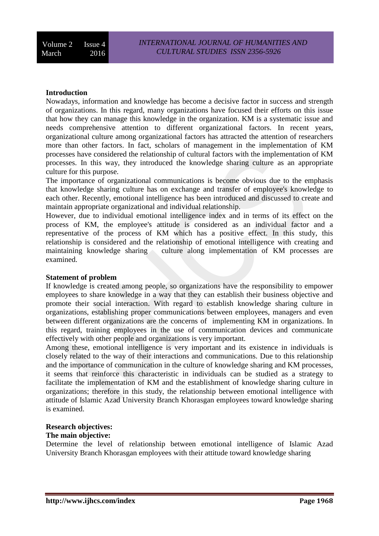# **Introduction**

Nowadays, information and knowledge has become a decisive factor in success and strength of organizations. In this regard, many organizations have focused their efforts on this issue that how they can manage this knowledge in the organization. KM is a systematic issue and needs comprehensive attention to different organizational factors. In recent years, organizational culture among organizational factors has attracted the attention of researchers more than other factors. In fact, scholars of management in the implementation of KM processes have considered the relationship of cultural factors with the implementation of KM processes. In this way, they introduced the knowledge sharing culture as an appropriate culture for this purpose.

The importance of organizational communications is become obvious due to the emphasis that knowledge sharing culture has on exchange and transfer of employee's knowledge to each other. Recently, emotional intelligence has been introduced and discussed to create and maintain appropriate organizational and individual relationship.

However, due to individual emotional intelligence index and in terms of its effect on the process of KM, the employee's attitude is considered as an individual factor and a representative of the process of KM which has a positive effect. In this study, this relationship is considered and the relationship of emotional intelligence with creating and maintaining knowledge sharing culture along implementation of KM processes are examined.

## **Statement of problem**

If knowledge is created among people, so organizations have the responsibility to empower employees to share knowledge in a way that they can establish their business objective and promote their social interaction. With regard to establish knowledge sharing culture in organizations, establishing proper communications between employees, managers and even between different organizations are the concerns of implementing KM in organizations. In this regard, training employees in the use of communication devices and communicate effectively with other people and organizations is very important.

Among these, emotional intelligence is very important and its existence in individuals is closely related to the way of their interactions and communications. Due to this relationship and the importance of communication in the culture of knowledge sharing and KM processes, it seems that reinforce this characteristic in individuals can be studied as a strategy to facilitate the implementation of KM and the establishment of knowledge sharing culture in organizations; therefore in this study, the relationship between emotional intelligence with attitude of Islamic Azad University Branch Khorasgan employees toward knowledge sharing is examined.

## **Research objectives:**

# **The main objective:**

Determine the level of relationship between emotional intelligence of Islamic Azad University Branch Khorasgan employees with their attitude toward knowledge sharing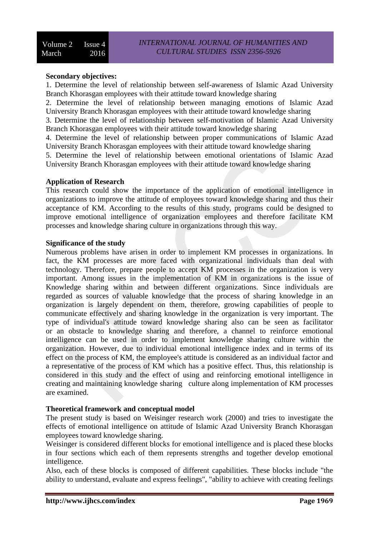## **Secondary objectives:**

1. Determine the level of relationship between self-awareness of Islamic Azad University Branch Khorasgan employees with their attitude toward knowledge sharing

2. Determine the level of relationship between managing emotions of Islamic Azad University Branch Khorasgan employees with their attitude toward knowledge sharing

3. Determine the level of relationship between self-motivation of Islamic Azad University Branch Khorasgan employees with their attitude toward knowledge sharing

4. Determine the level of relationship between proper communications of Islamic Azad University Branch Khorasgan employees with their attitude toward knowledge sharing

5. Determine the level of relationship between emotional orientations of Islamic Azad University Branch Khorasgan employees with their attitude toward knowledge sharing

## **Application of Research**

This research could show the importance of the application of emotional intelligence in organizations to improve the attitude of employees toward knowledge sharing and thus their acceptance of KM. According to the results of this study, programs could be designed to improve emotional intelligence of organization employees and therefore facilitate KM processes and knowledge sharing culture in organizations through this way.

#### **Significance of the study**

Numerous problems have arisen in order to implement KM processes in organizations. In fact, the KM processes are more faced with organizational individuals than deal with technology. Therefore, prepare people to accept KM processes in the organization is very important. Among issues in the implementation of KM in organizations is the issue of Knowledge sharing within and between different organizations. Since individuals are regarded as sources of valuable knowledge that the process of sharing knowledge in an organization is largely dependent on them, therefore, growing capabilities of people to communicate effectively and sharing knowledge in the organization is very important. The type of individual's attitude toward knowledge sharing also can be seen as facilitator or an obstacle to knowledge sharing and therefore, a channel to reinforce emotional intelligence can be used in order to implement knowledge sharing culture within the organization. However, due to individual emotional intelligence index and in terms of its effect on the process of KM, the employee's attitude is considered as an individual factor and a representative of the process of KM which has a positive effect. Thus, this relationship is considered in this study and the effect of using and reinforcing emotional intelligence in creating and maintaining knowledge sharing culture along implementation of KM processes are examined.

# **Theoretical framework and conceptual model**

The present study is based on Weisinger research work (2000) and tries to investigate the effects of emotional intelligence on attitude of Islamic Azad University Branch Khorasgan employees toward knowledge sharing.

Weisinger is considered different blocks for emotional intelligence and is placed these blocks in four sections which each of them represents strengths and together develop emotional intelligence.

Also, each of these blocks is composed of different capabilities. These blocks include "the ability to understand, evaluate and express feelings", "ability to achieve with creating feelings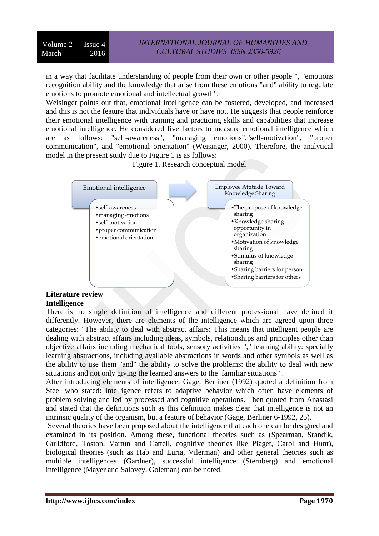in a way that facilitate understanding of people from their own or other people ", "emotions recognition ability and the knowledge that arise from these emotions "and" ability to regulate emotions to promote emotional and intellectual growth".

Weisinger points out that, emotional intelligence can be fostered, developed, and increased and this is not the feature that individuals have or have not. He suggests that people reinforce their emotional intelligence with training and practicing skills and capabilities that increase emotional intelligence. He considered five factors to measure emotional intelligence which are as follows: "self-awareness", "managing emotions","self-motivation", "proper communication", and "emotional orientation" (Weisinger, 2000). Therefore, the analytical model in the present study due to Figure 1 is as follows:

Figure 1. Research conceptual model



#### **Literature review Intelligence**

There is no single definition of intelligence and different professional have defined it differently. However, there are elements of the intelligence which are agreed upon three categories: "The ability to deal with abstract affairs: This means that intelligent people are dealing with abstract affairs including ideas, symbols, relationships and principles other than objective affairs including mechanical tools, sensory activities "," learning ability: specially learning abstractions, including available abstractions in words and other symbols as well as the ability to use them "and" the ability to solve the problems: the ability to deal with new situations and not only giving the learned answers to the familiar situations ".

After introducing elements of intelligence, Gage, Berliner (1992) quoted a definition from Steel who stated: intelligence refers to adaptive behavior which often have elements of problem solving and led by processed and cognitive operations. Then quoted from Anastasi and stated that the definitions such as this definition makes clear that intelligence is not an intrinsic quality of the organism, but a feature of behavior (Gage, Berliner 6-1992, 25).

Several theories have been proposed about the intelligence that each one can be designed and examined in its position. Among these, functional theories such as (Spearman, Srandik, Guildford, Toston, Vartun and Cattell, cognitive theories like Piaget, Carol and Hunt), biological theories (such as Hab and Luria, Vilerman) and other general theories such as multiple intelligences (Gardner), successful intelligence (Sternberg) and emotional intelligence (Mayer and Salovey, Goleman) can be noted.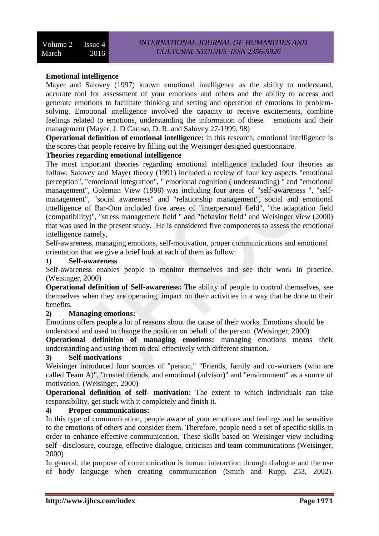# **Emotional intelligence**

Mayer and Salovey (1997) known emotional intelligence as the ability to understand, accurate tool for assessment of your emotions and others and the ability to access and generate emotions to facilitate thinking and setting and operation of emotions in problemsolving. Emotional intelligence involved the capacity to receive excitements, combine feelings related to emotions, understanding the information of these emotions and their management (Mayer, J. D Caruso, D. R. and Salovey 27-1999, 98)

**Operational definition of emotional intelligence:** in this research, emotional intelligence is the scores that people receive by filling out the Weisinger designed questionnaire.

## **Theories regarding emotional intelligence**

The most important theories regarding emotional intelligence included four theories as follow: Salovey and Mayer theory (1991) included a review of four key aspects "emotional perception", "emotional integration", " emotional cognition ( understanding) " and "emotional management", Goleman View (1998) was including four areas of "self-awareness ", "selfmanagement", "social awareness" and "relationship management", social and emotional intelligence of Bar-Oon included five areas of "interpersonal field", "the adaptation field (compatibility)", "stress management field " and "behavior field" and Weisinger view (2000) that was used in the present study. He is considered five components to assess the emotional intelligence namely,

Self-awareness, managing emotions, self-motivation, proper communications and emotional orientation that we give a brief look at each of them as follow:

# **1) Self-awareness**

Self-awareness enables people to monitor themselves and see their work in practice. (Weisinger, 2000)

**Operational definition of Self-awareness:** The ability of people to control themselves, see themselves when they are operating, impact on their activities in a way that be done to their benefits.

## **2) Managing emotions:**

Emotions offers people a lot of reasons about the cause of their works. Emotions should be understood and used to change the position on behalf of the person. (Weisinger, 2000)

**Operational definition of managing emotions:** managing emotions means their understanding and using them to deal effectively with different situation.

## **3) Self-motivations**

Weisinger introduced four sources of "person," "Friends, family and co-workers (who are called Team A)", "trusted friends, and emotional (advisor)" and "environment" as a source of motivation. (Weisinger, 2000)

**Operational definition of self- motivation:** The extent to which individuals can take responsibility, get stuck with it completely and finish it.

# **4) Proper communications:**

In this type of communication, people aware of your emotions and feelings and be sensitive to the emotions of others and consider them. Therefore, people need a set of specific skills in order to enhance effective communication. These skills based on Weisinger view including self –disclosure, courage, effective dialogue, criticism and team communications (Weisinger, 2000)

In general, the purpose of communication is human interaction through dialogue and the use of body language when creating communication (Smith and Rupp, 253, 2002).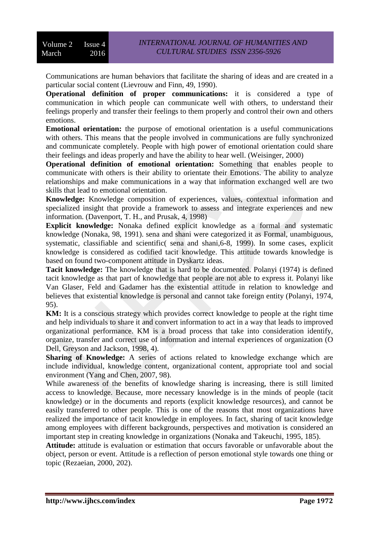Communications are human behaviors that facilitate the sharing of ideas and are created in a particular social content (Lievrouw and Finn, 49, 1990).

**Operational definition of proper communications:** it is considered a type of communication in which people can communicate well with others, to understand their feelings properly and transfer their feelings to them properly and control their own and others emotions.

**Emotional orientation:** the purpose of emotional orientation is a useful communications with others. This means that the people involved in communications are fully synchronized and communicate completely. People with high power of emotional orientation could share their feelings and ideas properly and have the ability to hear well. (Weisinger, 2000)

**Operational definition of emotional orientation:** Something that enables people to communicate with others is their ability to orientate their Emotions. The ability to analyze relationships and make communications in a way that information exchanged well are two skills that lead to emotional orientation.

**Knowledge:** Knowledge composition of experiences, values, contextual information and specialized insight that provide a framework to assess and integrate experiences and new information. (Davenport, T. H., and Prusak, 4, 1998)

**Explicit knowledge:** Nonaka defined explicit knowledge as a formal and systematic knowledge (Nonaka, 98, 1991). sena and shani were categorized it as Formal, unambiguous, systematic, classifiable and scientific( sena and shani,6-8, 1999). In some cases, explicit knowledge is considered as codified tacit knowledge. This attitude towards knowledge is based on found two-component attitude in Dyskartz ideas.

**Tacit knowledge:** The knowledge that is hard to be documented. Polanyi (1974) is defined tacit knowledge as that part of knowledge that people are not able to express it. Polanyi like Van Glaser, Feld and Gadamer has the existential attitude in relation to knowledge and believes that existential knowledge is personal and cannot take foreign entity (Polanyi, 1974, 95).

**KM:** It is a conscious strategy which provides correct knowledge to people at the right time and help individuals to share it and convert information to act in a way that leads to improved organizational performance. KM is a broad process that take into consideration identify, organize, transfer and correct use of information and internal experiences of organization (O Dell, Greyson and Jackson, 1998, 4).

**Sharing of Knowledge:** A series of actions related to knowledge exchange which are include individual, knowledge content, organizational content, appropriate tool and social environment (Yang and Chen, 2007, 98).

While awareness of the benefits of knowledge sharing is increasing, there is still limited access to knowledge. Because, more necessary knowledge is in the minds of people (tacit knowledge) or in the documents and reports (explicit knowledge resources), and cannot be easily transferred to other people. This is one of the reasons that most organizations have realized the importance of tacit knowledge in employees. In fact, sharing of tacit knowledge among employees with different backgrounds, perspectives and motivation is considered an important step in creating knowledge in organizations (Nonaka and Takeuchi, 1995, 185).

**Attitude:** attitude is evaluation or estimation that occurs favorable or unfavorable about the object, person or event. Attitude is a reflection of person emotional style towards one thing or topic (Rezaeian, 2000, 202).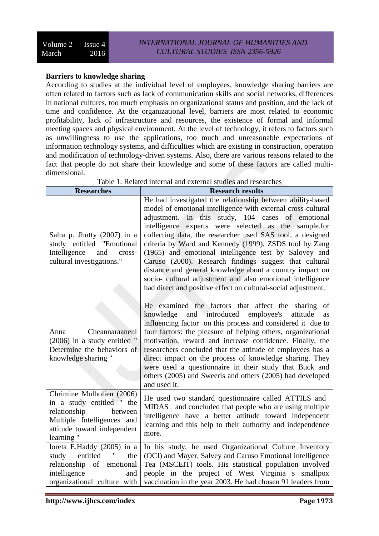# **Barriers to knowledge sharing**

According to studies at the individual level of employees, knowledge sharing barriers are often related to factors such as lack of communication skills and social networks, differences in national cultures, too much emphasis on organizational status and position, and the lack of time and confidence. At the organizational level, barriers are most related to economic profitability, lack of infrastructure and resources, the existence of formal and informal meeting spaces and physical environment. At the level of technology, it refers to factors such as unwillingness to use the applications, too much and unreasonable expectations of information technology systems, and difficulties which are existing in construction, operation and modification of technology-driven systems. Also, there are various reasons related to the fact that people do not share their knowledge and some of these factors are called multidimensional.

| <b>Researches</b>                                                                                                                                           | <b>Research results</b>                                                                                                                                                                                                                                                                                                                                                                                                                                                                                                                                                                                                                                                      |
|-------------------------------------------------------------------------------------------------------------------------------------------------------------|------------------------------------------------------------------------------------------------------------------------------------------------------------------------------------------------------------------------------------------------------------------------------------------------------------------------------------------------------------------------------------------------------------------------------------------------------------------------------------------------------------------------------------------------------------------------------------------------------------------------------------------------------------------------------|
| Salra p. Jhutty (2007) in a<br>study entitled "Emotional<br>Intelligence<br>and<br>cross-<br>cultural investigations."                                      | He had investigated the relationship between ability-based<br>model of emotional intelligence with external cross-cultural<br>adjustment. In this study, 104 cases of emotional<br>intelligence experts were selected as the sample.for<br>collecting data, the researcher used SAS tool, a designed<br>criteria by Ward and Kennedy (1999), ZSDS tool by Zang<br>(1965) and emotional intelligence test by Salovey and<br>Caruso (2000). Research findings suggest that cultural<br>distance and general knowledge about a country impact on<br>socio- cultural adjustment and also emotional intelligence<br>had direct and positive effect on cultural-social adjustment. |
| Cheannaraanenl<br>Anna<br>(2006) in a study entitled "<br>Determine the behaviors of<br>knowledge sharing "                                                 | He examined the factors that affect the sharing<br>of<br>and introduced employee's<br>knowledge<br>attitude<br><b>as</b><br>influencing factor on this process and considered it due to<br>four factors: the pleasure of helping others, organizational<br>motivation, reward and increase confidence. Finally, the<br>researchers concluded that the attitude of employees has a<br>direct impact on the process of knowledge sharing. They<br>were used a questionnaire in their study that Buck and<br>others (2005) and Sweeris and others (2005) had developed<br>and used it.                                                                                          |
| Chrimine Mulholien (2006)<br>in a study entitled " the<br>relationship<br>between<br>Multiple Intelligences and<br>attitude toward independent<br>learning" | He used two standard questionnaire called ATTILS and<br>MIDAS and concluded that people who are using multiple<br>intelligence have a better attitude toward independent<br>learning and this help to their authority and independence<br>more.                                                                                                                                                                                                                                                                                                                                                                                                                              |
| loreta E.Haddy (2005) in a<br>entitled<br>study<br>the<br>relationship of emotional<br>intelligence<br>and<br>organizational culture with                   | In his study, he used Organizational Culture Inventory<br>(OCI) and Mayer, Salvey and Caruso Emotional intelligence<br>Tea (MSCEIT) tools. His statistical population involved<br>people in the project of West Virginia s smallpox<br>vaccination in the year 2003. He had chosen 91 leaders from                                                                                                                                                                                                                                                                                                                                                                           |

Table 1. Related internal and external studies and researches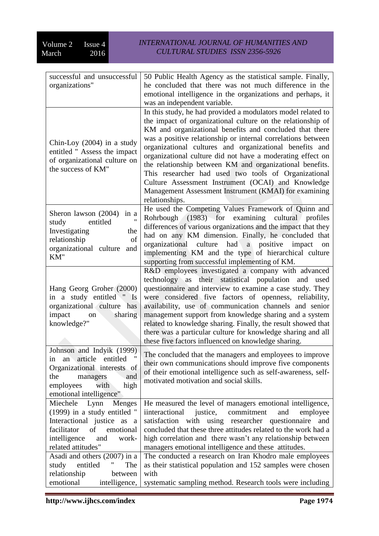| successful and unsuccessful                                                                                                                                                                | 50 Public Health Agency as the statistical sample. Finally,                                                                                                                                                                                                                                                                                                                                                                                                                                                                                     |
|--------------------------------------------------------------------------------------------------------------------------------------------------------------------------------------------|-------------------------------------------------------------------------------------------------------------------------------------------------------------------------------------------------------------------------------------------------------------------------------------------------------------------------------------------------------------------------------------------------------------------------------------------------------------------------------------------------------------------------------------------------|
| organizations"                                                                                                                                                                             | he concluded that there was not much difference in the                                                                                                                                                                                                                                                                                                                                                                                                                                                                                          |
|                                                                                                                                                                                            | emotional intelligence in the organizations and perhaps, it                                                                                                                                                                                                                                                                                                                                                                                                                                                                                     |
|                                                                                                                                                                                            | was an independent variable.                                                                                                                                                                                                                                                                                                                                                                                                                                                                                                                    |
| Chin-Loy $(2004)$ in a study<br>entitled " Assess the impact<br>of organizational culture on                                                                                               | In this study, he had provided a modulators model related to<br>the impact of organizational culture on the relationship of<br>KM and organizational benefits and concluded that there<br>was a positive relationship or internal correlations between<br>organizational cultures and organizational benefits and<br>organizational culture did not have a moderating effect on<br>the relationship between KM and organizational benefits.                                                                                                     |
| the success of KM"                                                                                                                                                                         | This researcher had used two tools of Organizational<br>Culture Assessment Instrument (OCAI) and Knowledge<br>Management Assessment Instrument (KMAI) for examining<br>relationships.                                                                                                                                                                                                                                                                                                                                                           |
| Sheron lawson (2004)<br>in a<br>entitled<br>study<br>Investigating<br>the<br>of<br>relationship<br>organizational culture<br>and<br>KM"                                                    | He used the Competing Values Framework of Quinn and<br>$(1983)$ for examining<br>Rohrbough<br>cultural profiles<br>differences of various organizations and the impact that they<br>had on any KM dimension. Finally, he concluded that<br>had a positive<br>culture<br>organizational<br>impact<br>on<br>implementing KM and the type of hierarchical culture<br>supporting from successful implementing of KM.                                                                                                                                |
| Hang Georg Groher (2000)<br>in a study entitled " Is<br>organizational culture has<br>impact<br>sharing<br>on<br>knowledge?"                                                               | R&D employees investigated a company with advanced<br>technology as their statistical population and<br>used<br>questionnaire and interview to examine a case study. They<br>were considered five factors of openness, reliability,<br>availability, use of communication channels and senior<br>management support from knowledge sharing and a system<br>related to knowledge sharing. Finally, the result showed that<br>there was a particular culture for knowledge sharing and all<br>these five factors influenced on knowledge sharing. |
| Johnson and Indyik (1999)<br>an article<br>entitled<br>1n<br>Organizational interests of<br>the<br>and<br>managers<br>employees<br>with<br>high<br>emotional intelligence"                 | The concluded that the managers and employees to improve<br>their own communications should improve five components<br>of their emotional intelligence such as self-awareness, self-<br>motivated motivation and social skills.                                                                                                                                                                                                                                                                                                                 |
| Miechele Lynn<br>Menges<br>(1999) in a study entitled "<br>Interactional justice as<br>$\mathbf a$<br>facilitator<br>of<br>emotional<br>intelligence<br>and<br>work-<br>related attitudes" | He measured the level of managers emotional intelligence,<br>commitment<br>justice,<br>iinteractional<br>and<br>employee<br>satisfaction<br>with using researcher questionnaire<br>and<br>concluded that these three attitudes related to the work had a<br>high correlation and there wasn't any relationship between<br>managers emotional intelligence and these attitudes.                                                                                                                                                                  |
| Asadi and others (2007) in a<br>"<br>entitled<br>The<br>study<br>relationship<br>between<br>emotional<br>intelligence,                                                                     | The conducted a research on Iran Khodro male employees<br>as their statistical population and 152 samples were chosen<br>with<br>systematic sampling method. Research tools were including                                                                                                                                                                                                                                                                                                                                                      |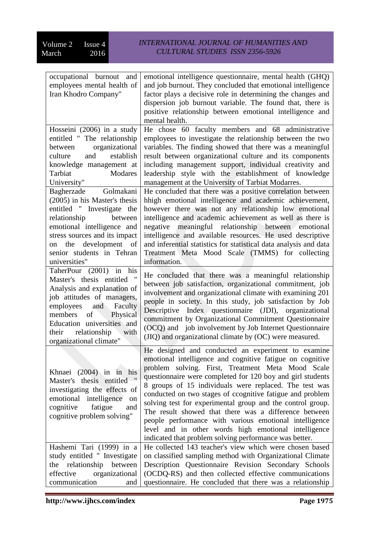| occupational burnout<br>and                             | emotional intelligence questionnaire, mental health (GHQ)         |
|---------------------------------------------------------|-------------------------------------------------------------------|
| employees mental health of                              | and job burnout. They concluded that emotional intelligence       |
| Iran Khodro Company"                                    | factor plays a decisive role in determining the changes and       |
|                                                         | dispersion job burnout variable. The found that, there is         |
|                                                         | positive relationship between emotional intelligence and          |
|                                                         | mental health.                                                    |
| Hosseini (2006) in a study                              | He chose 60 faculty members and 68 administrative                 |
| entitled " The relationship                             | employees to investigate the relationship between the two         |
| organizational<br>between                               | variables. The finding showed that there was a meaningful         |
| establish<br>culture<br>and                             | result between organizational culture and its components          |
| knowledge management at                                 | including management support, individual creativity and           |
| Tarbiat<br>Modares                                      | leadership style with the establishment of knowledge              |
| University"                                             | management at the University of Tarbiat Modarres.                 |
| Bagherzade<br>Golmakani                                 | He concluded that there was a positive correlation between        |
| (2005) in his Master's thesis                           | hhigh emotional intelligence and academic achievement,            |
| entitled " Investigate the                              | however there was not any relationship low emotional              |
| relationship<br>between                                 | intelligence and academic achievement as well as there is         |
| emotional intelligence and                              | negative meaningful relationship between emotional                |
| stress sources and its impact                           | intelligence and available resources. He used descriptive         |
| development<br>on the<br>- of                           | and inferential statistics for statistical data analysis and data |
| senior students in Tehran                               | Treatment Meta Mood Scale (TMMS) for collecting                   |
| universities"                                           | information.                                                      |
| TaherPour (2001) in his                                 | He concluded that there was a meaningful relationship             |
| Master's thesis entitled                                | between job satisfaction, organizational commitment, job          |
| Analysis and explanation of                             | involvement and organizational climate with examining 201         |
| job attitudes of managers,                              | people in society. In this study, job satisfaction by Job         |
| and<br>Faculty<br>employees                             | Index questionnaire (JDI), organizational<br>Descriptive          |
| of<br>Physical<br>members<br>Education universities and | commitment by Organizational Commitment Questionnaire             |
| relationship<br>their<br>with                           | (OCQ) and job involvement by Job Internet Questionnaire           |
| organizational climate"                                 | (JIQ) and organizational climate by (OC) were measured.           |
|                                                         | He designed and conducted an experiment to examine                |
|                                                         | emotional intelligence and cognitive fatigue on cognitive         |
|                                                         | problem solving. First, Treatment Meta Mood Scale                 |
| Khnaei (2004) in in his                                 | questionnaire were completed for 120 boy and girl students        |
| Master's thesis entitled                                | 8 groups of 15 individuals were replaced. The test was            |
| investigating the effects of                            | conducted on two stages of ccognitive fatigue and problem         |
| emotional intelligence<br>on                            | solving test for experimental group and the control group.        |
| cognitive<br>fatigue<br>and                             | The result showed that there was a difference between             |
| cognitive problem solving"                              | people performance with various emotional intelligence            |
|                                                         | level and in other words high emotional intelligence              |
|                                                         | indicated that problem solving performance was better.            |
| Hashemi Tari (1999) in a                                | He collected 143 teacher's view which were chosen based           |
| study entitled " Investigate                            | on classified sampling method with Organizational Climate         |
| the relationship between                                | Description Questionnaire Revision Secondary Schools              |
| effective<br>organizational                             | (OCDQ-RS) and then collected effective communications             |
| communication<br>and                                    | questionnaire. He concluded that there was a relationship         |
|                                                         |                                                                   |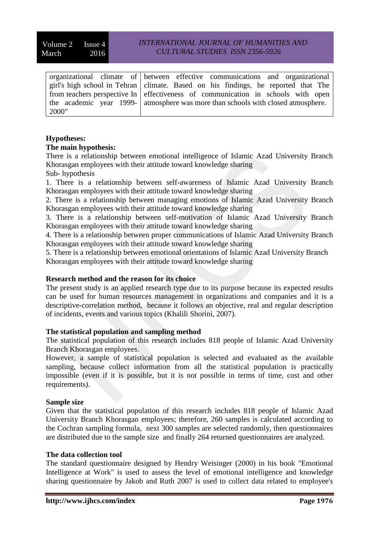|       | organizational climate of between effective communications and organizational                     |
|-------|---------------------------------------------------------------------------------------------------|
|       | $\frac{1}{2}$ girl's high school in Tehran   climate. Based on his findings, he reported that The |
|       | from teachers perspective In effectiveness of communication in schools with open                  |
|       | the academic year 1999- atmosphere was more than schools with closed atmosphere.                  |
| 2000" |                                                                                                   |

# **Hypotheses:**

# **The main hypothesis:**

There is a relationship between emotional intelligence of Islamic Azad University Branch Khorasgan employees with their attitude toward knowledge sharing

Sub- hypothesis

1. There is a relationship between self-awareness of Islamic Azad University Branch Khorasgan employees with their attitude toward knowledge sharing

2. There is a relationship between managing emotions of Islamic Azad University Branch Khorasgan employees with their attitude toward knowledge sharing

3. There is a relationship between self-motivation of Islamic Azad University Branch Khorasgan employees with their attitude toward knowledge sharing

4. There is a relationship between proper communications of Islamic Azad University Branch Khorasgan employees with their attitude toward knowledge sharing

5. There is a relationship between emotional orientations of Islamic Azad University Branch Khorasgan employees with their attitude toward knowledge sharing

## **Research method and the reason for its choice**

The present study is an applied research type due to its purpose because its expected results can be used for human resources management in organizations and companies and it is a descriptive-correlation method, because it follows an objective, real and regular description of incidents, events and various topics (Khalili Shorini, 2007).

# **The statistical population and sampling method**

The statistical population of this research includes 818 people of Islamic Azad University Branch Khorasgan employees.

However, a sample of statistical population is selected and evaluated as the available sampling, because collect information from all the statistical population is practically impossible (even if it is possible, but it is not possible in terms of time, cost and other requirements).

## **Sample size**

Given that the statistical population of this research includes 818 people of Islamic Azad University Branch Khorasgan employees; therefore, 260 samples is calculated according to the Cochran sampling formula, next 300 samples are selected randomly, then questionnaires are distributed due to the sample size and finally 264 returned questionnaires are analyzed.

## **The data collection tool**

The standard questionnaire designed by Hendry Weisinger (2000) in his book "Emotional Intelligence at Work" is used to assess the level of emotional intelligence and knowledge sharing questionnaire by Jakob and Ruth 2007 is used to collect data related to employee's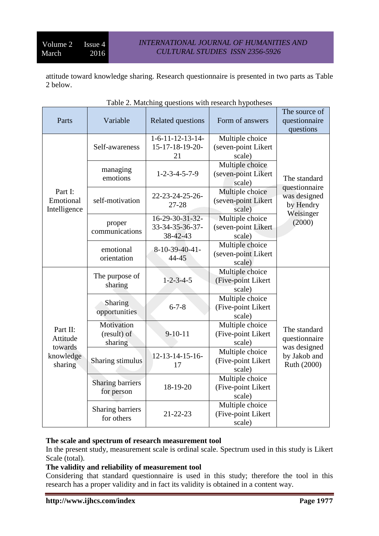attitude toward knowledge sharing. Research questionnaire is presented in two parts as Table 2 below.

| Parts                                                   | Variable                              | Related questions                              | Form of answers                                  | The source of<br>questionnaire<br>questions             |  |
|---------------------------------------------------------|---------------------------------------|------------------------------------------------|--------------------------------------------------|---------------------------------------------------------|--|
|                                                         | Self-awareness                        | $1-6-11-12-13-14-$<br>15-17-18-19-20-<br>21    | Multiple choice<br>(seven-point Likert<br>scale) | The standard                                            |  |
|                                                         | managing<br>emotions                  | $1 - 2 - 3 - 4 - 5 - 7 - 9$                    | Multiple choice<br>(seven-point Likert<br>scale) |                                                         |  |
| Part I:<br>Emotional<br>Intelligence                    | self-motivation                       | 22-23-24-25-26-<br>27-28                       | Multiple choice<br>(seven-point Likert<br>scale) | questionnaire<br>was designed<br>by Hendry<br>Weisinger |  |
|                                                         | proper<br>communications              | 16-29-30-31-32-<br>33-34-35-36-37-<br>38-42-43 | Multiple choice<br>(seven-point Likert<br>scale) | (2000)                                                  |  |
|                                                         | emotional<br>orientation              | 8-10-39-40-41-<br>44-45                        | Multiple choice<br>(seven-point Likert<br>scale) |                                                         |  |
| Part II:<br>Attitude<br>towards<br>knowledge<br>sharing | The purpose of<br>sharing             | $1 - 2 - 3 - 4 - 5$                            | Multiple choice<br>(Five-point Likert<br>scale)  |                                                         |  |
|                                                         | Sharing<br>opportunities              | $6 - 7 - 8$                                    | Multiple choice<br>(Five-point Likert<br>scale)  |                                                         |  |
|                                                         | Motivation<br>(result) of<br>sharing  | $9 - 10 - 11$                                  | Multiple choice<br>(Five-point Likert<br>scale)  | The standard<br>questionnaire                           |  |
|                                                         | Sharing stimulus                      | 12-13-14-15-16-<br>17                          | Multiple choice<br>(Five-point Likert<br>scale)  | was designed<br>by Jakob and<br>Ruth (2000)             |  |
|                                                         | <b>Sharing barriers</b><br>for person | 18-19-20                                       | Multiple choice<br>(Five-point Likert<br>scale)  |                                                         |  |
|                                                         | <b>Sharing barriers</b><br>for others | 21-22-23                                       | Multiple choice<br>(Five-point Likert<br>scale)  |                                                         |  |

# **The scale and spectrum of research measurement tool**

In the present study, measurement scale is ordinal scale. Spectrum used in this study is Likert Scale (total).

# **The validity and reliability of measurement tool**

Considering that standard questionnaire is used in this study; therefore the tool in this research has a proper validity and in fact its validity is obtained in a content way.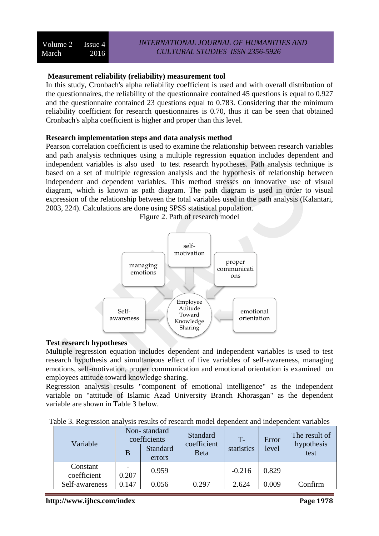# **Measurement reliability (reliability) measurement tool**

In this study, Cronbach's alpha reliability coefficient is used and with overall distribution of the questionnaires, the reliability of the questionnaire contained 45 questions is equal to 0.927 and the questionnaire contained 23 questions equal to 0.783. Considering that the minimum reliability coefficient for research questionnaires is 0.70, thus it can be seen that obtained Cronbach's alpha coefficient is higher and proper than this level.

# **Research implementation steps and data analysis method**

Pearson correlation coefficient is used to examine the relationship between research variables and path analysis techniques using a multiple regression equation includes dependent and independent variables is also used to test research hypotheses. Path analysis technique is based on a set of multiple regression analysis and the hypothesis of relationship between independent and dependent variables. This method stresses on innovative use of visual diagram, which is known as path diagram. The path diagram is used in order to visual expression of the relationship between the total variables used in the path analysis (Kalantari, 2003, 224). Calculations are done using SPSS statistical population.



Figure 2. Path of research model

# **Test research hypotheses**

Multiple regression equation includes dependent and independent variables is used to test research hypothesis and simultaneous effect of five variables of self-awareness, managing emotions, self-motivation, proper communication and emotional orientation is examined on employees attitude toward knowledge sharing.

Regression analysis results "component of emotional intelligence" as the independent variable on "attitude of Islamic Azad University Branch Khorasgan" as the dependent variable are shown in Table 3 below.

| Table 3. Regression analysis results of research model dependent and independent variables |
|--------------------------------------------------------------------------------------------|
|--------------------------------------------------------------------------------------------|

|  | Variable<br>B           | Non-standard<br>coefficients |       | <b>Standard</b><br>coefficient<br><b>Beta</b> | $T -$<br>statistics | Error<br>level | The result of<br>hypothesis<br>test |
|--|-------------------------|------------------------------|-------|-----------------------------------------------|---------------------|----------------|-------------------------------------|
|  |                         | Standard<br>errors           |       |                                               |                     |                |                                     |
|  | Constant<br>coefficient | 0.207                        | 0.959 |                                               | $-0.216$            | 0.829          |                                     |
|  | Self-awareness          | 0.147                        | 0.056 | 0.297                                         | 2.624               | 0.009          | Confirm                             |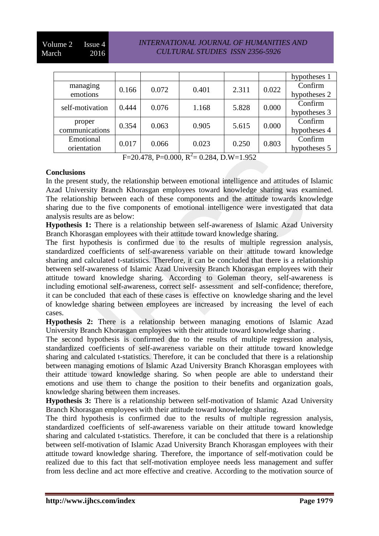# *INTERNATIONAL JOURNAL OF HUMANITIES AND CULTURAL STUDIES ISSN 2356-5926*

|                 |       |       |       |       |       | hypotheses 1 |
|-----------------|-------|-------|-------|-------|-------|--------------|
| managing        | 0.166 | 0.072 | 0.401 | 2.311 | 0.022 | Confirm      |
| emotions        |       |       |       |       |       | hypotheses 2 |
| self-motivation | 0.444 | 0.076 | 1.168 | 5.828 | 0.000 | Confirm      |
|                 |       |       |       |       |       | hypotheses 3 |
| proper          |       |       |       |       | 0.000 | Confirm      |
| communications  | 0.354 | 0.063 | 0.905 | 5.615 |       | hypotheses 4 |
| Emotional       |       |       |       |       | 0.803 | Confirm      |
| orientation     | 0.017 | 0.066 | 0.023 | 0.250 |       | hypotheses 5 |

 $F=20.478$ , P=0.000, R<sup>2</sup>= 0.284, D.W=1.952

## **Conclusions**

In the present study, the relationship between emotional intelligence and attitudes of Islamic Azad University Branch Khorasgan employees toward knowledge sharing was examined. The relationship between each of these components and the attitude towards knowledge sharing due to the five components of emotional intelligence were investigated that data analysis results are as below:

**Hypothesis 1:** There is a relationship between self-awareness of Islamic Azad University Branch Khorasgan employees with their attitude toward knowledge sharing.

The first hypothesis is confirmed due to the results of multiple regression analysis, standardized coefficients of self-awareness variable on their attitude toward knowledge sharing and calculated t-statistics. Therefore, it can be concluded that there is a relationship between self-awareness of Islamic Azad University Branch Khorasgan employees with their attitude toward knowledge sharing. According to Goleman theory, self-awareness is including emotional self-awareness, correct self- assessment and self-confidence; therefore, it can be concluded that each of these cases is effective on knowledge sharing and the level of knowledge sharing between employees are increased by increasing the level of each cases.

**Hypothesis 2:** There is a relationship between managing emotions of Islamic Azad University Branch Khorasgan employees with their attitude toward knowledge sharing .

The second hypothesis is confirmed due to the results of multiple regression analysis, standardized coefficients of self-awareness variable on their attitude toward knowledge sharing and calculated t-statistics. Therefore, it can be concluded that there is a relationship between managing emotions of Islamic Azad University Branch Khorasgan employees with their attitude toward knowledge sharing. So when people are able to understand their emotions and use them to change the position to their benefits and organization goals, knowledge sharing between them increases.

**Hypothesis 3:** There is a relationship between self-motivation of Islamic Azad University Branch Khorasgan employees with their attitude toward knowledge sharing.

The third hypothesis is confirmed due to the results of multiple regression analysis, standardized coefficients of self-awareness variable on their attitude toward knowledge sharing and calculated t-statistics. Therefore, it can be concluded that there is a relationship between self-motivation of Islamic Azad University Branch Khorasgan employees with their attitude toward knowledge sharing. Therefore, the importance of self-motivation could be realized due to this fact that self-motivation employee needs less management and suffer from less decline and act more effective and creative. According to the motivation source of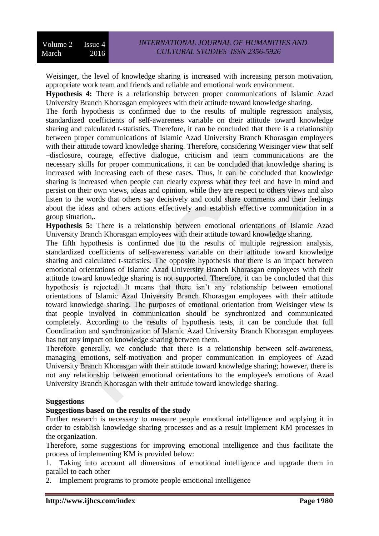Weisinger, the level of knowledge sharing is increased with increasing person motivation, appropriate work team and friends and reliable and emotional work environment.

**Hypothesis 4:** There is a relationship between proper communications of Islamic Azad University Branch Khorasgan employees with their attitude toward knowledge sharing.

The forth hypothesis is confirmed due to the results of multiple regression analysis, standardized coefficients of self-awareness variable on their attitude toward knowledge sharing and calculated t-statistics. Therefore, it can be concluded that there is a relationship between proper communications of Islamic Azad University Branch Khorasgan employees with their attitude toward knowledge sharing. Therefore, considering Weisinger view that self –disclosure, courage, effective dialogue, criticism and team communications are the necessary skills for proper communications, it can be concluded that knowledge sharing is increased with increasing each of these cases. Thus, it can be concluded that knowledge sharing is increased when people can clearly express what they feel and have in mind and persist on their own views, ideas and opinion, while they are respect to others views and also listen to the words that others say decisively and could share comments and their feelings about the ideas and others actions effectively and establish effective communication in a group situation,.

**Hypothesis 5:** There is a relationship between emotional orientations of Islamic Azad University Branch Khorasgan employees with their attitude toward knowledge sharing.

The fifth hypothesis is confirmed due to the results of multiple regression analysis, standardized coefficients of self-awareness variable on their attitude toward knowledge sharing and calculated t-statistics. The opposite hypothesis that there is an impact between emotional orientations of Islamic Azad University Branch Khorasgan employees with their attitude toward knowledge sharing is not supported. Therefore, it can be concluded that this hypothesis is rejected. It means that there isn't any relationship between emotional orientations of Islamic Azad University Branch Khorasgan employees with their attitude toward knowledge sharing. The purposes of emotional orientation from Weisinger view is that people involved in communication should be synchronized and communicated completely. According to the results of hypothesis tests, it can be conclude that full Coordination and synchronization of Islamic Azad University Branch Khorasgan employees has not any impact on knowledge sharing between them.

Therefore generally, we conclude that there is a relationship between self-awareness, managing emotions, self-motivation and proper communication in employees of Azad University Branch Khorasgan with their attitude toward knowledge sharing; however, there is not any relationship between emotional orientations to the employee's emotions of Azad University Branch Khorasgan with their attitude toward knowledge sharing.

## **Suggestions**

# **Suggestions based on the results of the study**

Further research is necessary to measure people emotional intelligence and applying it in order to establish knowledge sharing processes and as a result implement KM processes in the organization.

Therefore, some suggestions for improving emotional intelligence and thus facilitate the process of implementing KM is provided below:

1. Taking into account all dimensions of emotional intelligence and upgrade them in parallel to each other

2. Implement programs to promote people emotional intelligence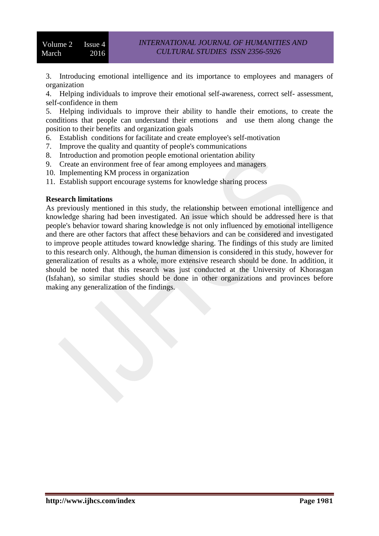3. Introducing emotional intelligence and its importance to employees and managers of organization

4. Helping individuals to improve their emotional self-awareness, correct self- assessment, self-confidence in them

5. Helping individuals to improve their ability to handle their emotions, to create the conditions that people can understand their emotions and use them along change the position to their benefits and organization goals

- 6. Establish conditions for facilitate and create employee's self-motivation
- 7. Improve the quality and quantity of people's communications
- 8. Introduction and promotion people emotional orientation ability
- 9. Create an environment free of fear among employees and managers
- 10. Implementing KM process in organization
- 11. Establish support encourage systems for knowledge sharing process

#### **Research limitations**

As previously mentioned in this study, the relationship between emotional intelligence and knowledge sharing had been investigated. An issue which should be addressed here is that people's behavior toward sharing knowledge is not only influenced by emotional intelligence and there are other factors that affect these behaviors and can be considered and investigated to improve people attitudes toward knowledge sharing. The findings of this study are limited to this research only. Although, the human dimension is considered in this study, however for generalization of results as a whole, more extensive research should be done. In addition, it should be noted that this research was just conducted at the University of Khorasgan (Isfahan), so similar studies should be done in other organizations and provinces before making any generalization of the findings.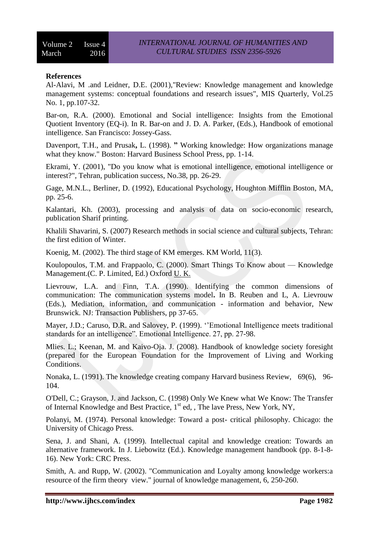# **References**

Al-Alavi, M .and Leidner, D.E. (2001),"Review: Knowledge management and knowledge management systems: conceptual foundations and research issues", MIS Quarterly, Vol.25 No. 1, pp.107-32.

Bar-on, R.A. (2000). Emotional and Social intelligence: Insights from the Emotional Quotient Inventory (EQ-i). In R. Bar-on and J. D. A. Parker, (Eds.), Handbook of emotional intelligence. San Francisco: Jossey-Gass.

Davenport, T.H., and Prusak**,** L. (1998). **"** Working knowledge: How organizations manage what they know." Boston: Harvard Business School Press, pp. 1-14.

Ekrami, Y. (2001), "Do you know what is emotional intelligence, emotional intelligence or interest?", Tehran, publication success, No.38, pp. 26-29.

Gage, M.N.L., Berliner, D. (1992), Educational Psychology, Houghton Mifflin Boston, MA, pp. 25-6.

Kalantari, Kh. (2003), processing and analysis of data on socio-economic research, publication Sharif printing.

Khalili Shavarini, S. (2007) Research methods in social science and cultural subjects, Tehran: the first edition of Winter.

Koenig, M. (2002). The third stage of KM emerges. KM World, 11(3).

Koulopoulos, T.M. and Frappaolo, C. (2000). Smart Things To Know about — Knowledge Management.(C. P. Limited, Ed.) Oxford U. K.

Lievrouw, L.A. and Finn, T.A. (1990). Identifying the common dimensions of communication: The communication systems model**.** In B. Reuben and L, A. Lievrouw (Eds.), Mediation, information, and communication - information and behavior, New Brunswick. NJ: Transaction Publishers, pp 37-65.

Mayer, J.D.; Caruso, D.R. and Salovey, P. (1999). ''Emotional Intelligence meets traditional standards for an intelligence". Emotional Intelligence. 27, pp. 27-98.

Mlies. L.; Keenan, M. and Kaivo-Oja. J. (2008). Handbook of knowledge society foresight (prepared for the European Foundation for the Improvement of Living and Working Conditions.

Nonaka, L. (1991). The knowledge creating company Harvard business Review, 69(6), 96- 104.

O'Dell, C.; Grayson, J. and Jackson, C. (1998) Only We Knew what We Know: The Transfer of Internal Knowledge and Best Practice,  $1<sup>st</sup>$  ed, , The lave Press, New York, NY,

Polanyi, M. (1974). Personal knowledge: Toward a post- critical philosophy. Chicago: the University of Chicago Press.

Sena, J. and Shani, A. (1999). Intellectual capital and knowledge creation: Towards an alternative framework. In J. Liebowitz (Ed.). Knowledge management handbook (pp. 8-1-8- 16). New York: CRC Press.

Smith, A. and Rupp, W. (2002). "Communication and Loyalty among knowledge workers:a resource of the firm theory view." journal of knowledge management, 6, 250-260.